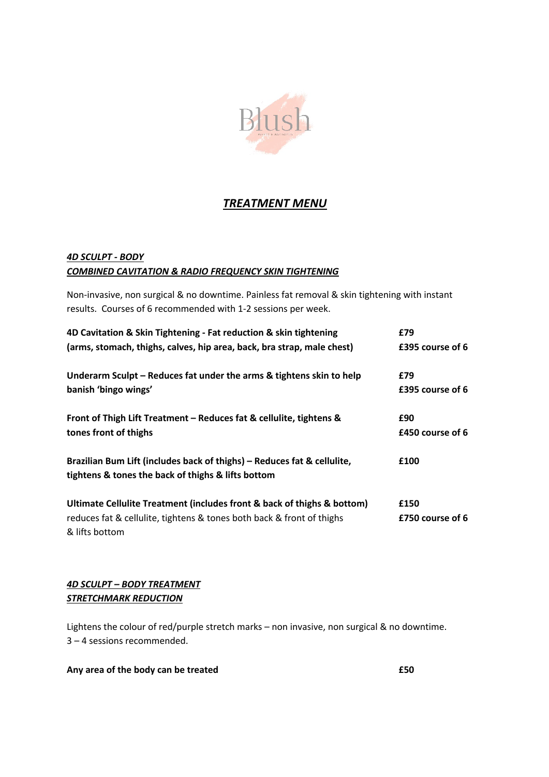

# *TREATMENT MENU*

# *4D SCULPT - BODY COMBINED CAVITATION & RADIO FREQUENCY SKIN TIGHTENING*

Non-invasive, non surgical & no downtime. Painless fat removal & skin tightening with instant results. Courses of 6 recommended with 1-2 sessions per week.

| 4D Cavitation & Skin Tightening - Fat reduction & skin tightening       | £79              |
|-------------------------------------------------------------------------|------------------|
| (arms, stomach, thighs, calves, hip area, back, bra strap, male chest)  | £395 course of 6 |
| Underarm Sculpt – Reduces fat under the arms & tightens skin to help    | £79              |
| banish 'bingo wings'                                                    | £395 course of 6 |
| Front of Thigh Lift Treatment - Reduces fat & cellulite, tightens &     | £90              |
| tones front of thighs                                                   | £450 course of 6 |
| Brazilian Bum Lift (includes back of thighs) - Reduces fat & cellulite, | £100             |
| tightens & tones the back of thighs & lifts bottom                      |                  |
| Ultimate Cellulite Treatment (includes front & back of thighs & bottom) | £150             |
| reduces fat & cellulite, tightens & tones both back & front of thighs   | £750 course of 6 |
| & lifts bottom                                                          |                  |

# *4D SCULPT – BODY TREATMENT STRETCHMARK REDUCTION*

Lightens the colour of red/purple stretch marks – non invasive, non surgical & no downtime. 3 – 4 sessions recommended.

# **Any area of the body can be treated £50**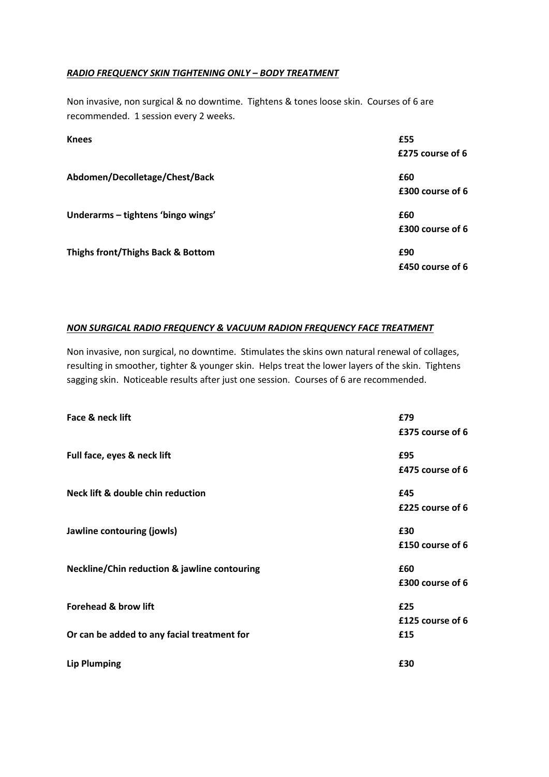## *RADIO FREQUENCY SKIN TIGHTENING ONLY – BODY TREATMENT*

Non invasive, non surgical & no downtime. Tightens & tones loose skin. Courses of 6 are recommended. 1 session every 2 weeks.

| <b>Knees</b>                       | £55<br>£275 course of 6 |
|------------------------------------|-------------------------|
| Abdomen/Decolletage/Chest/Back     | £60                     |
|                                    | £300 course of 6        |
| Underarms - tightens 'bingo wings' | £60                     |
|                                    | £300 course of 6        |
| Thighs front/Thighs Back & Bottom  | £90                     |
|                                    | £450 course of 6        |

# *NON SURGICAL RADIO FREQUENCY & VACUUM RADION FREQUENCY FACE TREATMENT*

Non invasive, non surgical, no downtime. Stimulates the skins own natural renewal of collages, resulting in smoother, tighter & younger skin. Helps treat the lower layers of the skin. Tightens sagging skin. Noticeable results after just one session. Courses of 6 are recommended.

| Face & neck lift                                        | £79              |
|---------------------------------------------------------|------------------|
|                                                         | £375 course of 6 |
| Full face, eyes & neck lift                             | £95              |
|                                                         | £475 course of 6 |
| Neck lift & double chin reduction                       | £45              |
|                                                         | £225 course of 6 |
| Jawline contouring (jowls)                              | £30              |
|                                                         | £150 course of 6 |
| <b>Neckline/Chin reduction &amp; jawline contouring</b> | £60              |
|                                                         | £300 course of 6 |
| <b>Forehead &amp; brow lift</b>                         | £25              |
|                                                         | £125 course of 6 |
| Or can be added to any facial treatment for             | £15              |
| <b>Lip Plumping</b>                                     | £30              |
|                                                         |                  |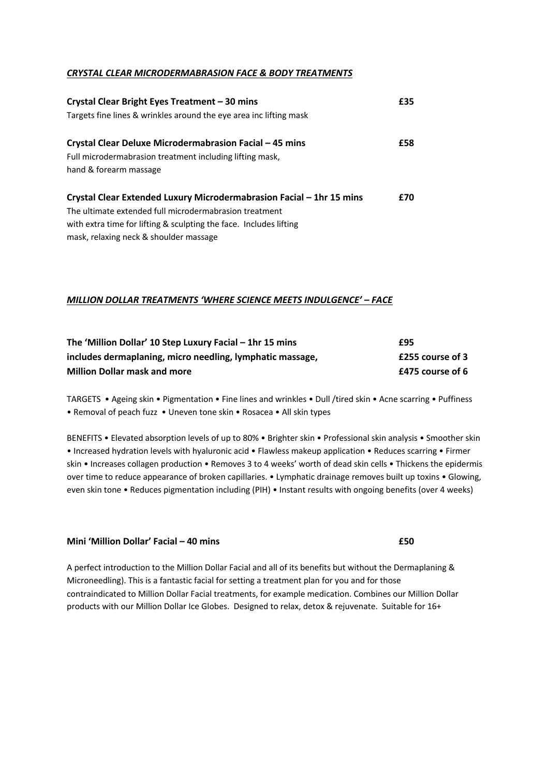#### *CRYSTAL CLEAR MICRODERMABRASION FACE & BODY TREATMENTS*

| Crystal Clear Bright Eyes Treatment - 30 mins                        | £35 |
|----------------------------------------------------------------------|-----|
| Targets fine lines & wrinkles around the eye area inc lifting mask   |     |
| Crystal Clear Deluxe Microdermabrasion Facial - 45 mins              | £58 |
| Full microdermabrasion treatment including lifting mask,             |     |
| hand & forearm massage                                               |     |
| Crystal Clear Extended Luxury Microdermabrasion Facial - 1hr 15 mins | £70 |
| The ultimate extended full microdermabrasion treatment               |     |
| with extra time for lifting & sculpting the face. Includes lifting   |     |
| mask, relaxing neck & shoulder massage                               |     |

## *MILLION DOLLAR TREATMENTS 'WHERE SCIENCE MEETS INDULGENCE' – FACE*

| The 'Million Dollar' 10 Step Luxury Facial - 1hr 15 mins  | £95              |
|-----------------------------------------------------------|------------------|
| includes dermaplaning, micro needling, lymphatic massage, | £255 course of 3 |
| <b>Million Dollar mask and more</b>                       | £475 course of 6 |

TARGETS • Ageing skin • Pigmentation • Fine lines and wrinkles • Dull /tired skin • Acne scarring • Puffiness • Removal of peach fuzz • Uneven tone skin • Rosacea • All skin types

BENEFITS • Elevated absorption levels of up to 80% • Brighter skin • Professional skin analysis • Smoother skin • Increased hydration levels with hyaluronic acid • Flawless makeup application • Reduces scarring • Firmer skin • Increases collagen production • Removes 3 to 4 weeks' worth of dead skin cells • Thickens the epidermis over time to reduce appearance of broken capillaries. • Lymphatic drainage removes built up toxins • Glowing, even skin tone • Reduces pigmentation including (PIH) • Instant results with ongoing benefits (over 4 weeks)

#### **Mini 'Million Dollar' Facial – 40 mins £50**

A perfect introduction to the Million Dollar Facial and all of its benefits but without the Dermaplaning & Microneedling). This is a fantastic facial for setting a treatment plan for you and for those contraindicated to Million Dollar Facial treatments, for example medication. Combines our Million Dollar products with our Million Dollar Ice Globes. Designed to relax, detox & rejuvenate. Suitable for 16+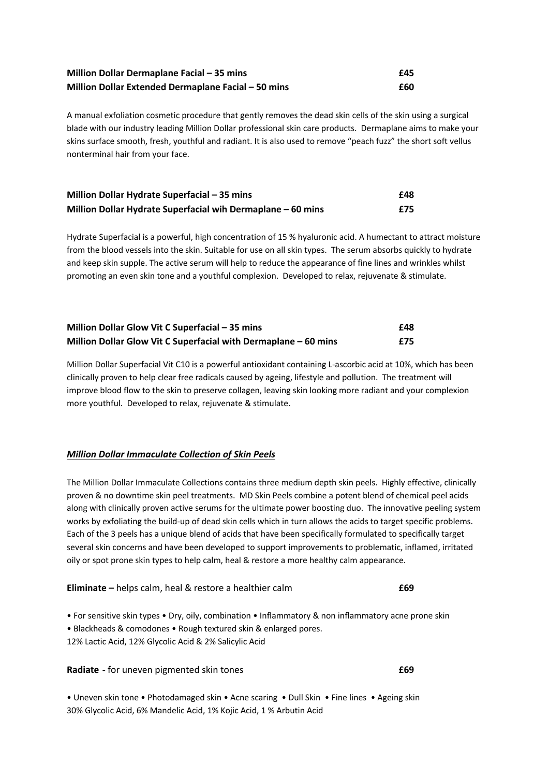| Million Dollar Dermaplane Facial - 35 mins          | £45 |
|-----------------------------------------------------|-----|
| Million Dollar Extended Dermaplane Facial - 50 mins | £60 |

A manual exfoliation cosmetic procedure that gently removes the dead skin cells of the skin using a surgical blade with our industry leading Million Dollar professional skin care products. Dermaplane aims to make your skins surface smooth, fresh, youthful and radiant. It is also used to remove "peach fuzz" the short soft vellus nonterminal hair from your face.

| Million Dollar Hydrate Superfacial - 35 mins                | £48 |
|-------------------------------------------------------------|-----|
| Million Dollar Hydrate Superfacial wih Dermaplane - 60 mins | f75 |

Hydrate Superfacial is a powerful, high concentration of 15 % hyaluronic acid. A humectant to attract moisture from the blood vessels into the skin. Suitable for use on all skin types. The serum absorbs quickly to hydrate and keep skin supple. The active serum will help to reduce the appearance of fine lines and wrinkles whilst promoting an even skin tone and a youthful complexion. Developed to relax, rejuvenate & stimulate.

| Million Dollar Glow Vit C Superfacial - 35 mins                 | £48 |
|-----------------------------------------------------------------|-----|
| Million Dollar Glow Vit C Superfacial with Dermaplane – 60 mins | £75 |

Million Dollar Superfacial Vit C10 is a powerful antioxidant containing L-ascorbic acid at 10%, which has been clinically proven to help clear free radicals caused by ageing, lifestyle and pollution. The treatment will improve blood flow to the skin to preserve collagen, leaving skin looking more radiant and your complexion more youthful. Developed to relax, rejuvenate & stimulate.

#### *Million Dollar Immaculate Collection of Skin Peels*

The Million Dollar Immaculate Collections contains three medium depth skin peels. Highly effective, clinically proven & no downtime skin peel treatments. MD Skin Peels combine a potent blend of chemical peel acids along with clinically proven active serums for the ultimate power boosting duo. The innovative peeling system works by exfoliating the build-up of dead skin cells which in turn allows the acids to target specific problems. Each of the 3 peels has a unique blend of acids that have been specifically formulated to specifically target several skin concerns and have been developed to support improvements to problematic, inflamed, irritated oily or spot prone skin types to help calm, heal & restore a more healthy calm appearance.

**Eliminate –** helps calm, heal & restore a healthier calm **£69**

• For sensitive skin types • Dry, oily, combination • Inflammatory & non inflammatory acne prone skin

• Blackheads & comodones • Rough textured skin & enlarged pores.

12% Lactic Acid, 12% Glycolic Acid & 2% Salicylic Acid

**Radiate** - for uneven pigmented skin tones **E69** 

• Uneven skin tone • Photodamaged skin • Acne scaring • Dull Skin • Fine lines • Ageing skin 30% Glycolic Acid, 6% Mandelic Acid, 1% Kojic Acid, 1 % Arbutin Acid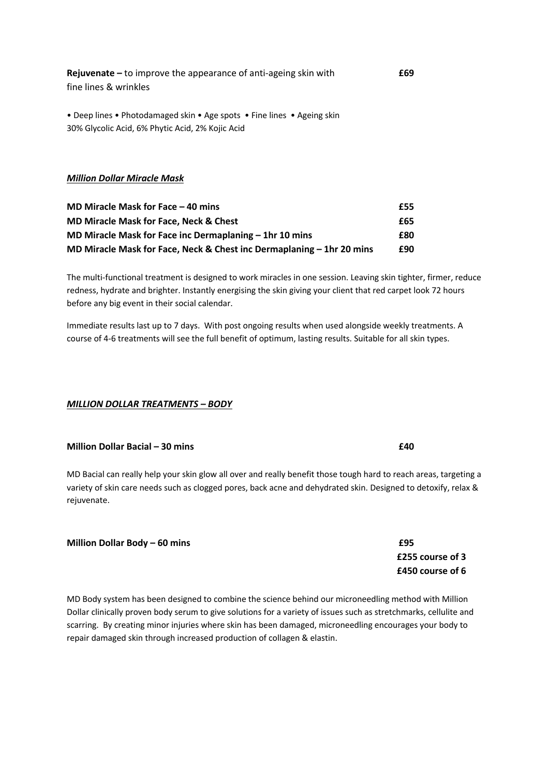| <b>Rejuvenate</b> – to improve the appearance of anti-ageing skin with | £69 |
|------------------------------------------------------------------------|-----|
| fine lines & wrinkles                                                  |     |
|                                                                        |     |

• Deep lines • Photodamaged skin • Age spots • Fine lines • Ageing skin 30% Glycolic Acid, 6% Phytic Acid, 2% Kojic Acid

#### *Million Dollar Miracle Mask*

| MD Miracle Mask for Face $-$ 40 mins                                    | £55 |
|-------------------------------------------------------------------------|-----|
| <b>MD Miracle Mask for Face, Neck &amp; Chest</b>                       | £65 |
| MD Miracle Mask for Face inc Dermaplaning $-$ 1hr 10 mins               | £80 |
| MD Miracle Mask for Face, Neck & Chest inc Dermaplaning $-$ 1hr 20 mins | £90 |

The multi-functional treatment is designed to work miracles in one session. Leaving skin tighter, firmer, reduce redness, hydrate and brighter. Instantly energising the skin giving your client that red carpet look 72 hours before any big event in their social calendar.

Immediate results last up to 7 days. With post ongoing results when used alongside weekly treatments. A course of 4-6 treatments will see the full benefit of optimum, lasting results. Suitable for all skin types.

## *MILLION DOLLAR TREATMENTS – BODY*

# **Million Dollar Bacial – 30 mins £40**

MD Bacial can really help your skin glow all over and really benefit those tough hard to reach areas, targeting a variety of skin care needs such as clogged pores, back acne and dehydrated skin. Designed to detoxify, relax & rejuvenate.

| Million Dollar Body - 60 mins | £95 |
|-------------------------------|-----|
|-------------------------------|-----|

MD Body system has been designed to combine the science behind our microneedling method with Million Dollar clinically proven body serum to give solutions for a variety of issues such as stretchmarks, cellulite and scarring. By creating minor injuries where skin has been damaged, microneedling encourages your body to repair damaged skin through increased production of collagen & elastin.

 **£255 course of 3 £450 course of 6**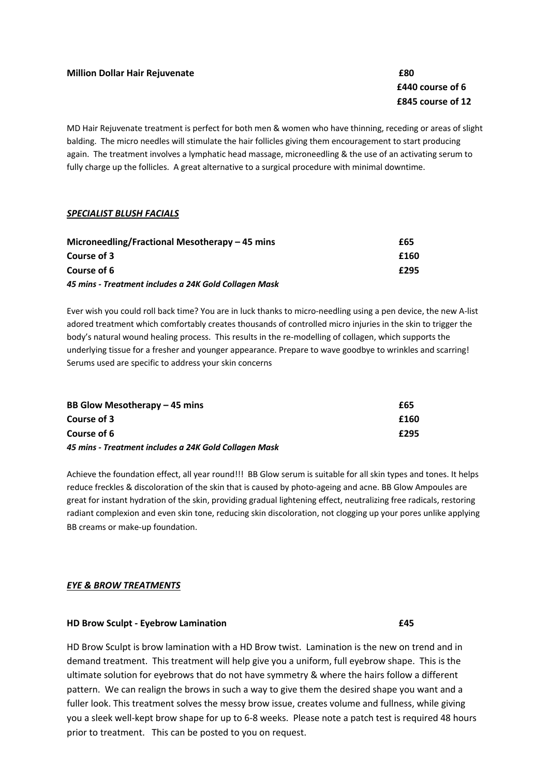# **£440 course of 6 £845 course of 12**

MD Hair Rejuvenate treatment is perfect for both men & women who have thinning, receding or areas of slight balding. The micro needles will stimulate the hair follicles giving them encouragement to start producing again. The treatment involves a lymphatic head massage, microneedling & the use of an activating serum to fully charge up the follicles. A great alternative to a surgical procedure with minimal downtime.

## *SPECIALIST BLUSH FACIALS*

| Microneedling/Fractional Mesotherapy – 45 mins        | £65  |
|-------------------------------------------------------|------|
| Course of 3                                           | £160 |
| Course of 6                                           | £295 |
| 45 mins - Treatment includes a 24K Gold Collagen Mask |      |

Ever wish you could roll back time? You are in luck thanks to micro-needling using a pen device, the new A-list adored treatment which comfortably creates thousands of controlled micro injuries in the skin to trigger the body's natural wound healing process. This results in the re-modelling of collagen, which supports the underlying tissue for a fresher and younger appearance. Prepare to wave goodbye to wrinkles and scarring! Serums used are specific to address your skin concerns

| BB Glow Mesotherapy – 45 mins                         | £65  |
|-------------------------------------------------------|------|
| Course of 3                                           | £160 |
| Course of 6                                           | £295 |
| 45 mins - Treatment includes a 24K Gold Collagen Mask |      |

Achieve the foundation effect, all year round!!! BB Glow serum is suitable for all skin types and tones. It helps reduce freckles & discoloration of the skin that is caused by photo-ageing and acne. BB Glow Ampoules are great for instant hydration of the skin, providing gradual lightening effect, neutralizing free radicals, restoring radiant complexion and even skin tone, reducing skin discoloration, not clogging up your pores unlike applying BB creams or make-up foundation.

#### *EYE & BROW TREATMENTS*

#### **HD Brow Sculpt - Eyebrow Lamination £45**

HD Brow Sculpt is brow lamination with a HD Brow twist. Lamination is the new on trend and in demand treatment. This treatment will help give you a uniform, full eyebrow shape. This is the ultimate solution for eyebrows that do not have symmetry & where the hairs follow a different pattern. We can realign the brows in such a way to give them the desired shape you want and a fuller look. This treatment solves the messy brow issue, creates volume and fullness, while giving you a sleek well-kept brow shape for up to 6-8 weeks. Please note a patch test is required 48 hours prior to treatment. This can be posted to you on request.